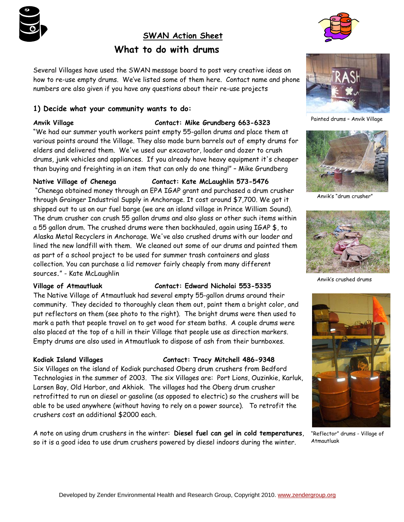

# **SWAN Action Sheet What to do with drums**



Several Villages have used the SWAN message board to post very creative ideas on how to re-use empty drums. We've listed some of them here. Contact name and phone numbers are also given if you have any questions about their re-use projects

# **1) Decide what your community wants to do:**

# **Anvik Village Contact: Mike Grundberg 663-6323**

"We had our summer youth workers paint empty 55-gallon drums and place them at various points around the Village. They also made burn barrels out of empty drums for elders and delivered them. We've used our excavator, loader and dozer to crush drums, junk vehicles and appliances. If you already have heavy equipment it's cheaper than buying and freighting in an item that can only do one thing!" – Mike Grundberg

# **Native Village of Chenega Contact: Kate McLaughlin 573-5476**

 "Chenega obtained money through an EPA IGAP grant and purchased a drum crusher through Grainger Industrial Supply in Anchorage. It cost around \$7,700. We got it shipped out to us on our fuel barge (we are an island village in Prince William Sound). The drum crusher can crush 55 gallon drums and also glass or other such items within a 55 gallon drum. The crushed drums were then backhauled, again using IGAP \$, to Alaska Metal Recyclers in Anchorage. We've also crushed drums with our loader and lined the new landfill with them. We cleaned out some of our drums and painted them as part of a school project to be used for summer trash containers and glass collection. You can purchase a lid remover fairly cheaply from many different sources**.**" - Kate McLaughlin

# **Village of Atmautluak Contact: Edward Nicholai 553-5335**

The Native Village of Atmautluak had several empty 55-gallon drums around their community. They decided to thoroughly clean them out, paint them a bright color, and put reflectors on them (see photo to the right). The bright drums were then used to mark a path that people travel on to get wood for steam baths. A couple drums were also placed at the top of a hill in their Village that people use as direction markers. Empty drums are also used in Atmautluak to dispose of ash from their burnboxes.

# **Kodiak Island Villages Contact: Tracy Mitchell 486-9348**

Six Villages on the island of Kodiak purchased Oberg drum crushers from Bedford Technologies in the summer of 2003. The six Villages are: Port Lions, Ouzinkie, Karluk, Larsen Bay, Old Harbor, and Akhiok. The villages had the Oberg drum crusher retrofitted to run on diesel or gasoline (as opposed to electric) so the crushers will be able to be used anywhere (without having to rely on a power source). To retrofit the crushers cost an additional \$2000 each.

A note on using drum crushers in the winter: **Diesel fuel can gel in cold temperatures**, so it is a good idea to use drum crushers powered by diesel indoors during the winter.



Painted drums – Anvik Village



Anvik's "drum crusher"



Anvik's crushed drums



"Reflector" drums - Village of Atmautluak